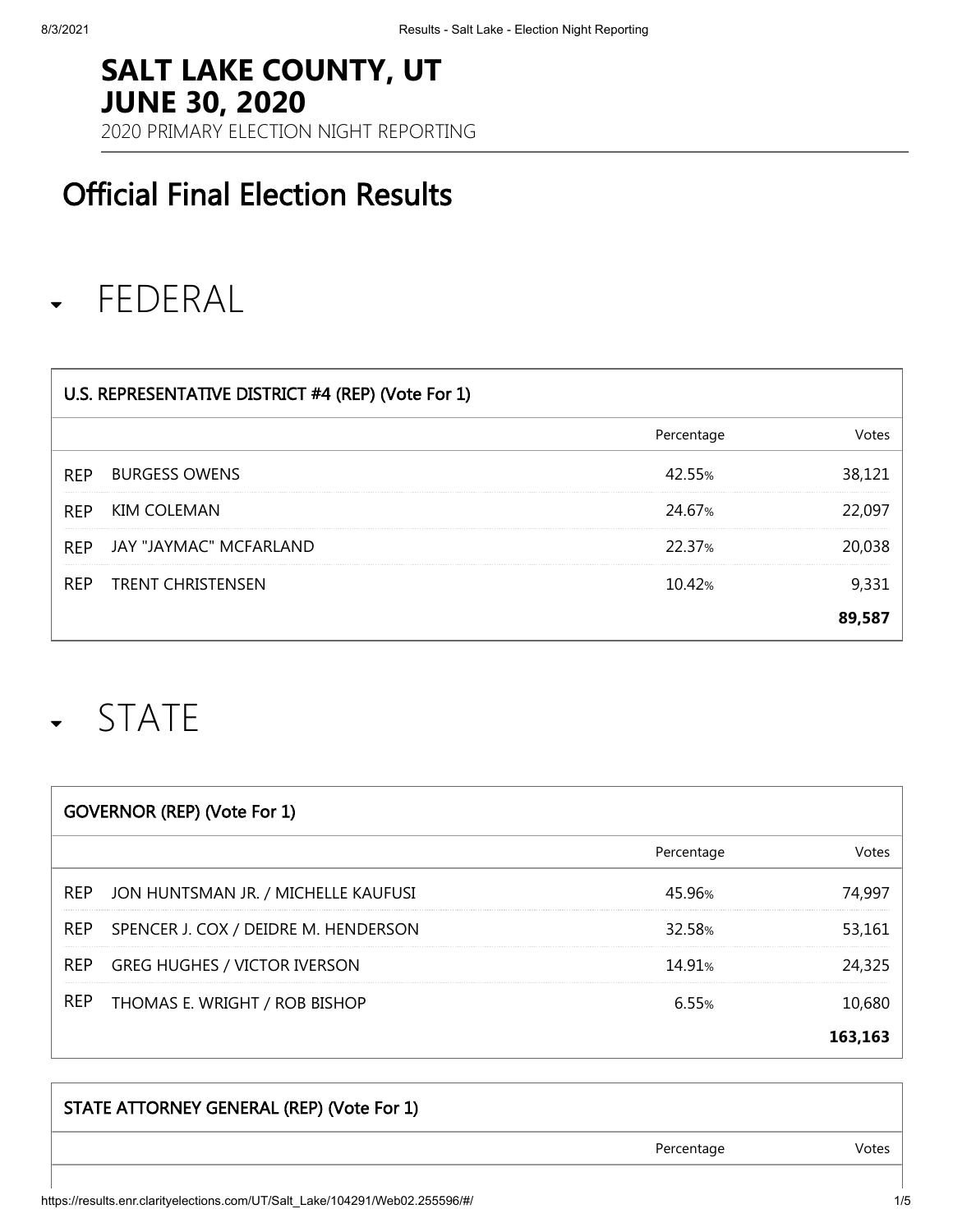#### **SALT LAKE COUNTY, UT JUNE 30, 2020**

2020 PRIMARY ELECTION NIGHT REPORTING

### Official Final Election Results

#### FEDERAL  $\blacktriangledown$

| U.S. REPRESENTATIVE DISTRICT #4 (REP) (Vote For 1) |                              |            |  |
|----------------------------------------------------|------------------------------|------------|--|
|                                                    |                              | Percentage |  |
| <b>REP</b>                                         | <b>BURGESS OWENS</b>         | 42.55%     |  |
| <b>REP</b>                                         | <b>KIM COLEMAN</b>           | 24.67%     |  |
|                                                    | REP JAY "JAYMAC" MCFARLAND   | 22.37%     |  |
|                                                    | <b>REP TRENT CHRISTENSEN</b> | 10.42%     |  |
|                                                    |                              |            |  |

## STATE

| <b>GOVERNOR (REP) (Vote For 1)</b> |                                          |                    |        |
|------------------------------------|------------------------------------------|--------------------|--------|
|                                    |                                          | Percentage         | Votes  |
| REP                                | JON HUNTSMAN JR. / MICHELLE KAUFUSI      | 45 96%             | 14.99  |
|                                    | REP SPENCER J. COX / DEIDRE M. HENDERSON | 32.58%             | 53.161 |
| <b>REP</b>                         | <b>GREG HUGHES / VICTOR IVERSON</b>      | 14 91 <sub>%</sub> | 24.325 |
|                                    | REP THOMAS E. WRIGHT / ROB BISHOP        | 655%               | 0,680  |
|                                    |                                          |                    |        |

# STATE ATTORNEY GENERAL (REP) (Vote For 1) Percentage **Votes**

https://results.enr.clarityelections.com/UT/Salt\_Lake/104291/Web02.255596/#/ 1/5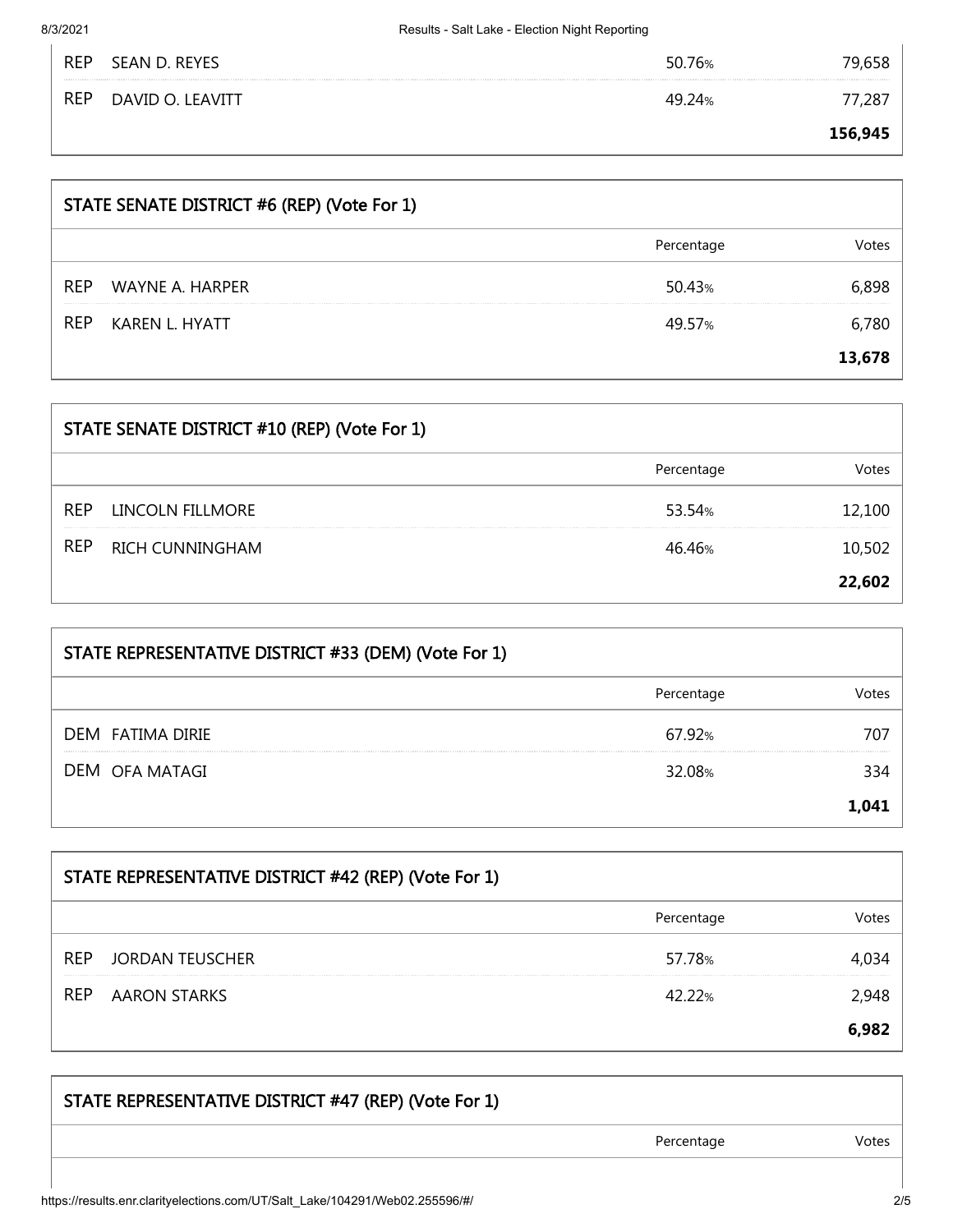8/3/2021 Results - Salt Lake - Election Night Reporting

| <b>RE</b>  | SEAN D. REYES    | /b% |         |
|------------|------------------|-----|---------|
| <b>REP</b> | DAVID O. LEAVITT |     |         |
|            |                  |     | 156,945 |

| STATE SENATE DISTRICT #6 (REP) (Vote For 1) |                 |            |        |
|---------------------------------------------|-----------------|------------|--------|
|                                             |                 | Percentage |        |
| <b>REP</b>                                  | WAYNE A. HARPER | 50.43%     |        |
| <b>REP</b>                                  | KAREN L. HYATT  | 49.57%     |        |
|                                             |                 |            | 13.678 |

| STATE SENATE DISTRICT #10 (REP) (Vote For 1) |                        |            |        |
|----------------------------------------------|------------------------|------------|--------|
|                                              |                        | Percentage |        |
| <b>REP</b>                                   | LINCOLN FILLMORE       | 53.54%     | 12.100 |
| REP                                          | <b>RICH CUNNINGHAM</b> | 4646%      | .0.502 |
|                                              |                        |            | 22.602 |

| STATE REPRESENTATIVE DISTRICT #33 (DEM) (Vote For 1) |            |       |
|------------------------------------------------------|------------|-------|
|                                                      | Percentage | nte:  |
| DEM FATIMA DIRIE                                     | 67.92%     | 707   |
| DEM OFA MATAGI                                       | 32.08%     | 334   |
|                                                      |            | 1.041 |

| STATE REPRESENTATIVE DISTRICT #42 (REP) (Vote For 1) |                     |            |       |
|------------------------------------------------------|---------------------|------------|-------|
|                                                      |                     | Percentage |       |
| <b>REP</b>                                           | JORDAN TEUSCHER     | 57.78%     |       |
| REP                                                  | <b>AARON STARKS</b> | 42.22%     |       |
|                                                      |                     |            | 6 ዓጸ: |

| STATE REPRESENTATIVE DISTRICT #47 (REP) (Vote For 1) |            |       |
|------------------------------------------------------|------------|-------|
|                                                      | Percentage | Votes |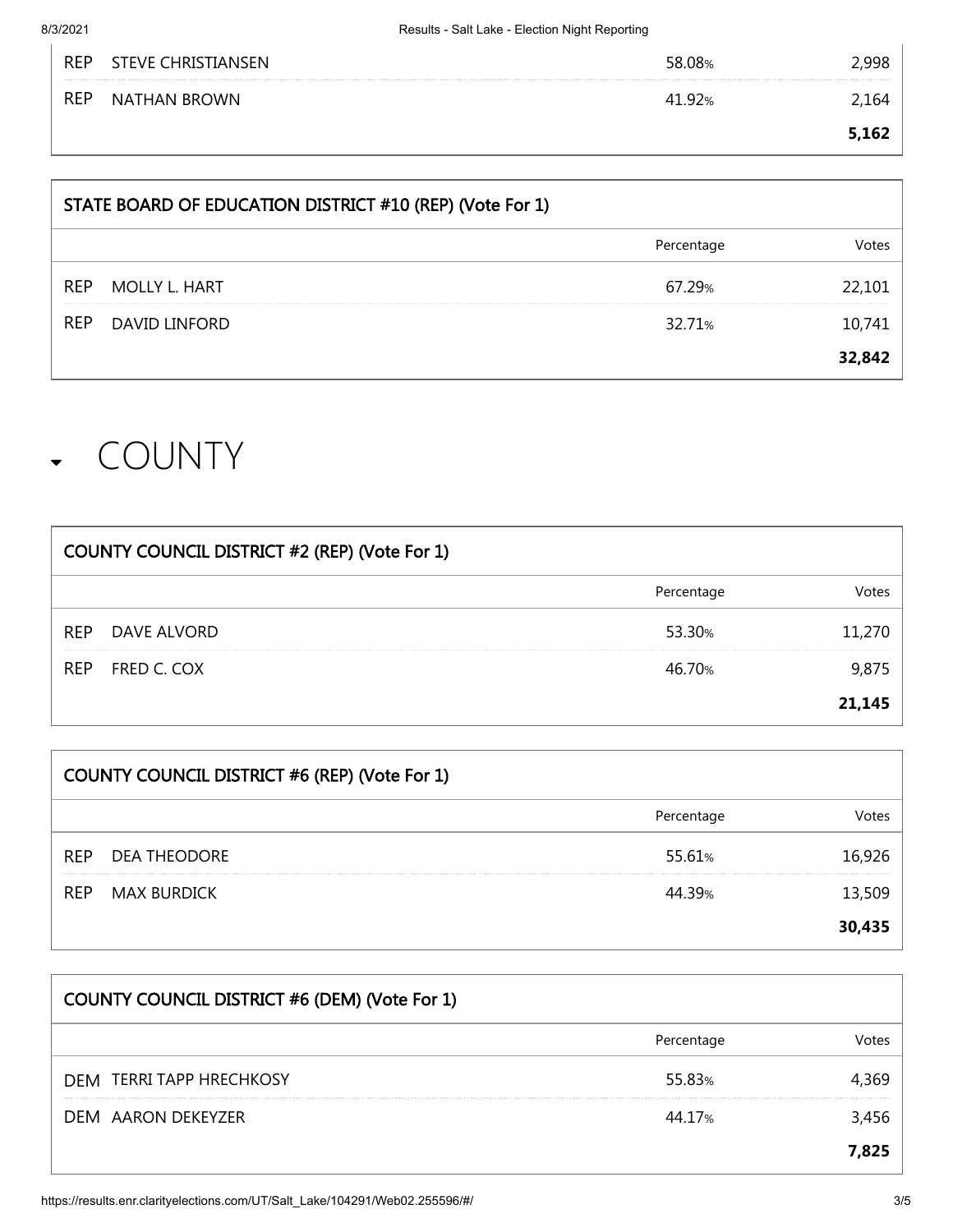|            |                     | <b>162</b> |
|------------|---------------------|------------|
| <b>REP</b> | <b>NATHAN BROWN</b> |            |
| <b>REP</b> | STEVE CHRISTIANSEN  |            |

| STATE BOARD OF EDUCATION DISTRICT #10 (REP) (Vote For 1) |            |  |
|----------------------------------------------------------|------------|--|
|                                                          | Percentage |  |
| REP.<br><b>MOLLY L. HART</b>                             | 67.29%     |  |
| <b>REP</b><br><b>DAVID LINFORD</b>                       | 32.71%     |  |
|                                                          |            |  |

## COUNTY

| COUNTY COUNCIL DISTRICT #2 (REP) (Vote For 1) |             |            |        |
|-----------------------------------------------|-------------|------------|--------|
|                                               |             | Percentage |        |
| <b>REP</b>                                    | DAVE ALVORD | 53.30%     |        |
| REP                                           | FRED C. COX | 46.70%     |        |
|                                               |             |            | 21.145 |

| <b>COUNTY COUNCIL DISTRICT #6 (REP) (Vote For 1)</b> |              |            |        |
|------------------------------------------------------|--------------|------------|--------|
|                                                      |              | Percentage |        |
| <b>REP</b>                                           | DEA THEODORE | 55.61%     |        |
| <b>REP</b>                                           | MAX BURDICK  | 44 39%     |        |
|                                                      |              |            | 30,435 |

| COUNTY COUNCIL DISTRICT #6 (DEM) (Vote For 1) |            |       |
|-----------------------------------------------|------------|-------|
|                                               | Percentage | /ntes |
| <b>DEM TERRI TAPP HRECHKOSY</b>               | 55.83%     |       |
| DEM AARON DEKEYZER                            | 44.17%     | 3,456 |
|                                               |            | 7.825 |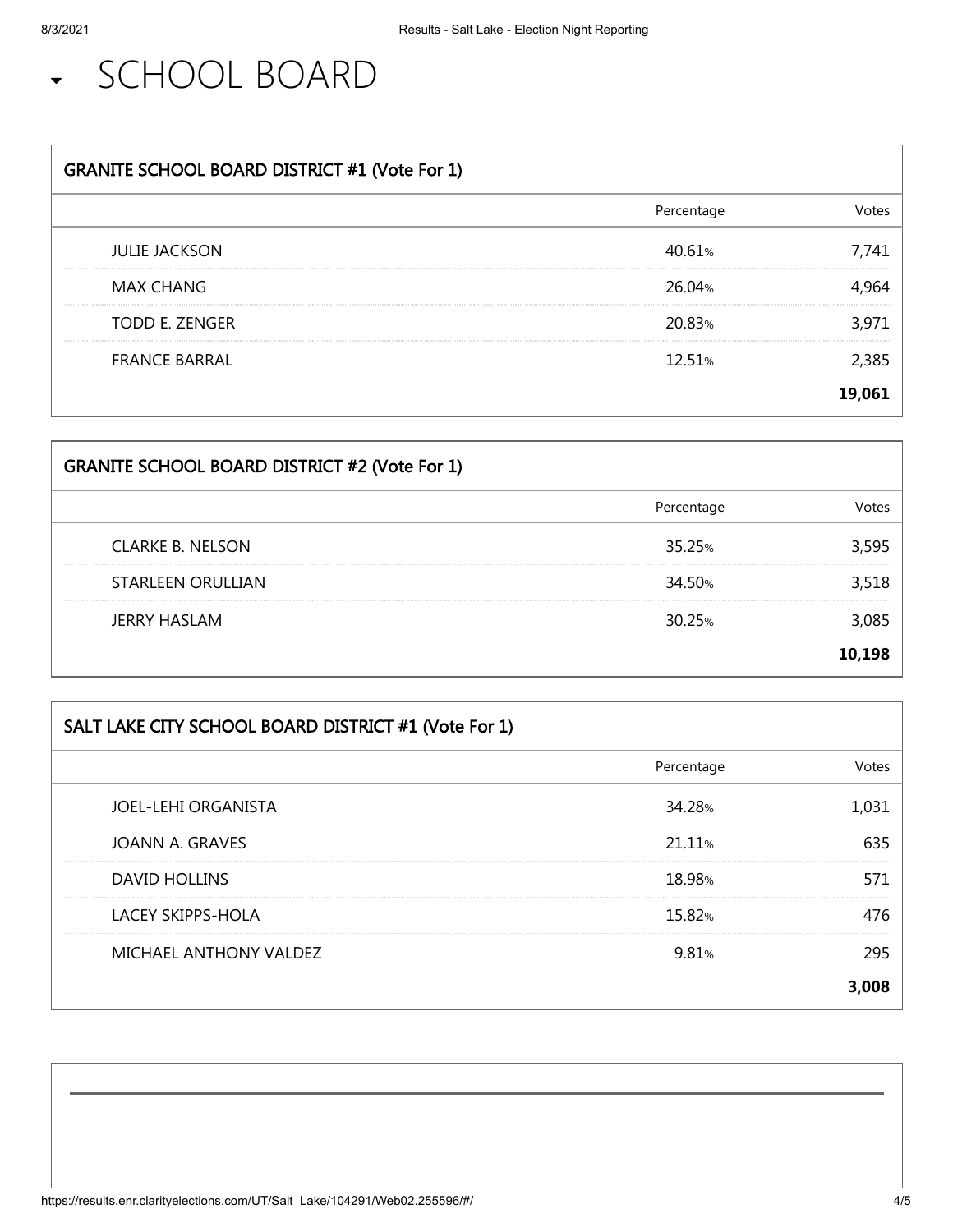SCHOOL BOARD

| <b>GRANITE SCHOOL BOARD DISTRICT #1 (Vote For 1)</b> |            |       |
|------------------------------------------------------|------------|-------|
|                                                      | Percentage |       |
| <b>JULIE JACKSON</b>                                 | 40.61%     |       |
| <b>MAX CHANG</b>                                     | 26.04%     |       |
| <b>TODD E. ZENGER</b>                                | 20.83%     | 3.971 |
| <b>FRANCE BARRAL</b>                                 | 12.51%     |       |
|                                                      |            | 19.06 |

| <b>GRANITE SCHOOL BOARD DISTRICT #2 (Vote For 1)</b> |            |        |
|------------------------------------------------------|------------|--------|
|                                                      | Percentage |        |
| <b>CLARKE B. NELSON</b>                              | 35.25%     |        |
| <b>STARLEEN ORULLIAN</b>                             | 34.50%     |        |
| <b>JERRY HASLAM</b>                                  | 30.25%     |        |
|                                                      |            | 10 198 |

| SALT LAKE CITY SCHOOL BOARD DISTRICT #1 (Vote For 1) |            |       |
|------------------------------------------------------|------------|-------|
|                                                      | Percentage | /ntes |
| <b>JOEL-LEHI ORGANISTA</b>                           | 34.28%     |       |
| JOANN A. GRAVES                                      | 21.11%     | 635   |
| <b>DAVID HOLLINS</b>                                 | 18.98%     |       |
| <b>LACEY SKIPPS-HOLA</b>                             | 15.82%     | 76    |
| MICHAEL ANTHONY VALDEZ                               | 9.81%      |       |
|                                                      |            |       |

| https://results.enr.clarityelections.com/UT/Salt_Lake/104291/Web02.255596/#/ | 4/5 |
|------------------------------------------------------------------------------|-----|